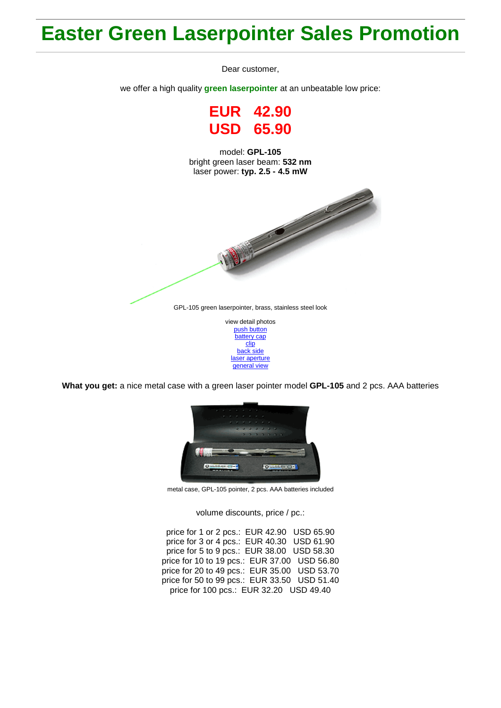## **Easter Green Laserpointer Sales Promotion**

Dear customer,

we offer a high quality **green laserpointer** at an unbeatable low price:

**EUR 42.90 USD 65.90**

model: **GPL-105** bright green laser beam: **532 nm** laser power: **typ. 2.5 - 4.5 mW**



[battery cap](http://roithner-laser.com/Hirespix/GPL105/battery_cap.jpg) [clip](http://roithner-laser.com/Hirespix/GPL105/clip.jpg) [back side](http://roithner-laser.com/Hirespix/GPL105/end_cap.jpg) [laser aperture](http://roithner-laser.com/Hirespix/GPL105/emitting_aperture.jpg) [general view](http://roithner-laser.com/Hirespix/GPL105/pointer_105.jpg)

**What you get:** a nice metal case with a green laser pointer model **GPL-105** and 2 pcs. AAA batteries



metal case, GPL-105 pointer, 2 pcs. AAA batteries included

volume discounts, price / pc.:

price for 1 or 2 pcs.: EUR 42.90 USD 65.90 price for 3 or 4 pcs.: EUR 40.30 USD 61.90 price for 5 to 9 pcs.: EUR 38.00 USD 58.30 price for 10 to 19 pcs.: EUR 37.00 USD 56.80 price for 20 to 49 pcs.: EUR 35.00 USD 53.70 price for 50 to 99 pcs.: EUR 33.50 USD 51.40 price for 100 pcs.: EUR 32.20 USD 49.40